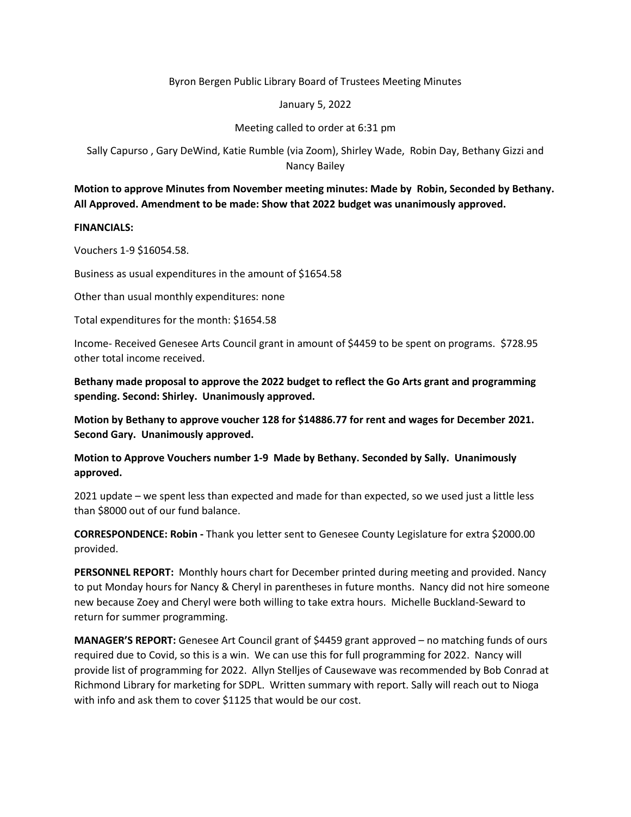# Byron Bergen Public Library Board of Trustees Meeting Minutes

### January 5, 2022

# Meeting called to order at 6:31 pm

Sally Capurso , Gary DeWind, Katie Rumble (via Zoom), Shirley Wade, Robin Day, Bethany Gizzi and Nancy Bailey

# **Motion to approve Minutes from November meeting minutes: Made by Robin, Seconded by Bethany. All Approved. Amendment to be made: Show that 2022 budget was unanimously approved.**

# **FINANCIALS:**

Vouchers 1-9 \$16054.58.

Business as usual expenditures in the amount of \$1654.58

Other than usual monthly expenditures: none

Total expenditures for the month: \$1654.58

Income- Received Genesee Arts Council grant in amount of \$4459 to be spent on programs. \$728.95 other total income received.

**Bethany made proposal to approve the 2022 budget to reflect the Go Arts grant and programming spending. Second: Shirley. Unanimously approved.**

**Motion by Bethany to approve voucher 128 for \$14886.77 for rent and wages for December 2021. Second Gary. Unanimously approved.**

**Motion to Approve Vouchers number 1-9 Made by Bethany. Seconded by Sally. Unanimously approved.**

2021 update – we spent less than expected and made for than expected, so we used just a little less than \$8000 out of our fund balance.

**CORRESPONDENCE: Robin -** Thank you letter sent to Genesee County Legislature for extra \$2000.00 provided.

**PERSONNEL REPORT:** Monthly hours chart for December printed during meeting and provided. Nancy to put Monday hours for Nancy & Cheryl in parentheses in future months. Nancy did not hire someone new because Zoey and Cheryl were both willing to take extra hours. Michelle Buckland-Seward to return for summer programming.

**MANAGER'S REPORT:** Genesee Art Council grant of \$4459 grant approved – no matching funds of ours required due to Covid, so this is a win. We can use this for full programming for 2022. Nancy will provide list of programming for 2022. Allyn Stelljes of Causewave was recommended by Bob Conrad at Richmond Library for marketing for SDPL. Written summary with report. Sally will reach out to Nioga with info and ask them to cover \$1125 that would be our cost.